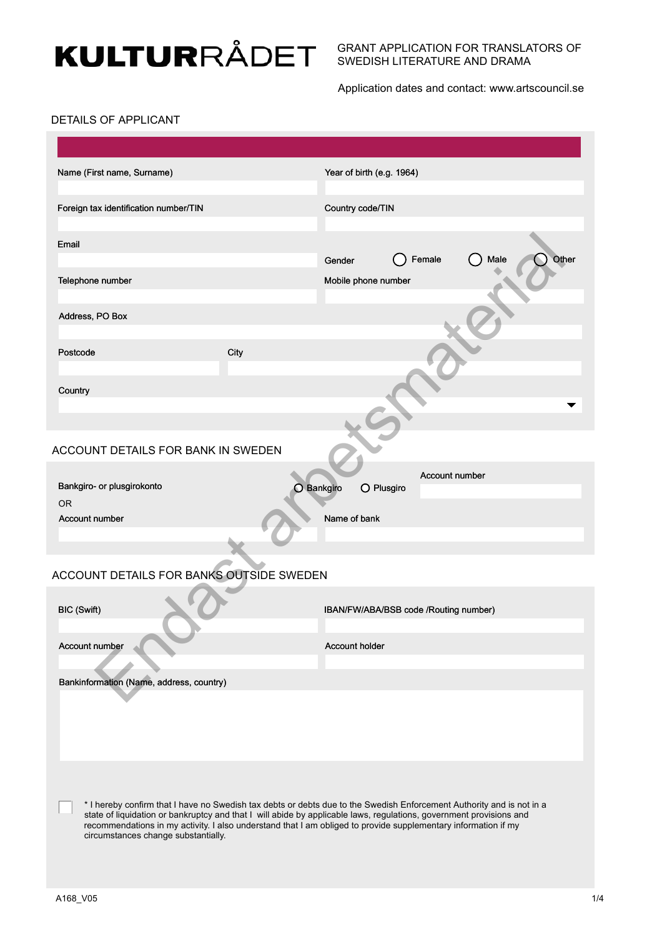# **KULTUR**RÅDET

#### GRANT APPLICATION FOR TRANSLATORS OF SWEDISH LITERATURE AND DRAMA

Application dates and contact: www.artscouncil.se

### DETAILS OF APPLICANT

| Name (First name, Surname)               |      | Year of birth (e.g. 1964)                                                                                                                                                                                                                                                                                                                                      |               |
|------------------------------------------|------|----------------------------------------------------------------------------------------------------------------------------------------------------------------------------------------------------------------------------------------------------------------------------------------------------------------------------------------------------------------|---------------|
| Foreign tax identification number/TIN    |      | Country code/TIN                                                                                                                                                                                                                                                                                                                                               |               |
| Email                                    |      | Female<br>Gender                                                                                                                                                                                                                                                                                                                                               | Other<br>Male |
| Telephone number                         |      | Mobile phone number                                                                                                                                                                                                                                                                                                                                            |               |
| Address, PO Box                          |      |                                                                                                                                                                                                                                                                                                                                                                |               |
| Postcode                                 | City |                                                                                                                                                                                                                                                                                                                                                                |               |
| Country                                  |      |                                                                                                                                                                                                                                                                                                                                                                |               |
|                                          |      |                                                                                                                                                                                                                                                                                                                                                                |               |
| ACCOUNT DETAILS FOR BANK IN SWEDEN       |      |                                                                                                                                                                                                                                                                                                                                                                |               |
| Bankgiro- or plusgirokonto<br><b>OR</b>  |      | Account number<br>$O$ Bankgiro<br>O Plusgiro                                                                                                                                                                                                                                                                                                                   |               |
| Account number                           |      | Name of bank                                                                                                                                                                                                                                                                                                                                                   |               |
|                                          |      |                                                                                                                                                                                                                                                                                                                                                                |               |
| ACCOUNT DETAILS FOR BANKS OUTSIDE SWEDEN |      |                                                                                                                                                                                                                                                                                                                                                                |               |
| BIC (Swift)                              |      | IBAN/FW/ABA/BSB code /Routing number)                                                                                                                                                                                                                                                                                                                          |               |
| Account number                           |      | Account holder                                                                                                                                                                                                                                                                                                                                                 |               |
| Bankinformation (Name, address, country) |      |                                                                                                                                                                                                                                                                                                                                                                |               |
|                                          |      |                                                                                                                                                                                                                                                                                                                                                                |               |
|                                          |      |                                                                                                                                                                                                                                                                                                                                                                |               |
|                                          |      |                                                                                                                                                                                                                                                                                                                                                                |               |
| circumstances change substantially.      |      | * I hereby confirm that I have no Swedish tax debts or debts due to the Swedish Enforcement Authority and is not in a<br>state of liquidation or bankruptcy and that I will abide by applicable laws, regulations, government provisions and<br>recommendations in my activity. I also understand that I am obliged to provide supplementary information if my |               |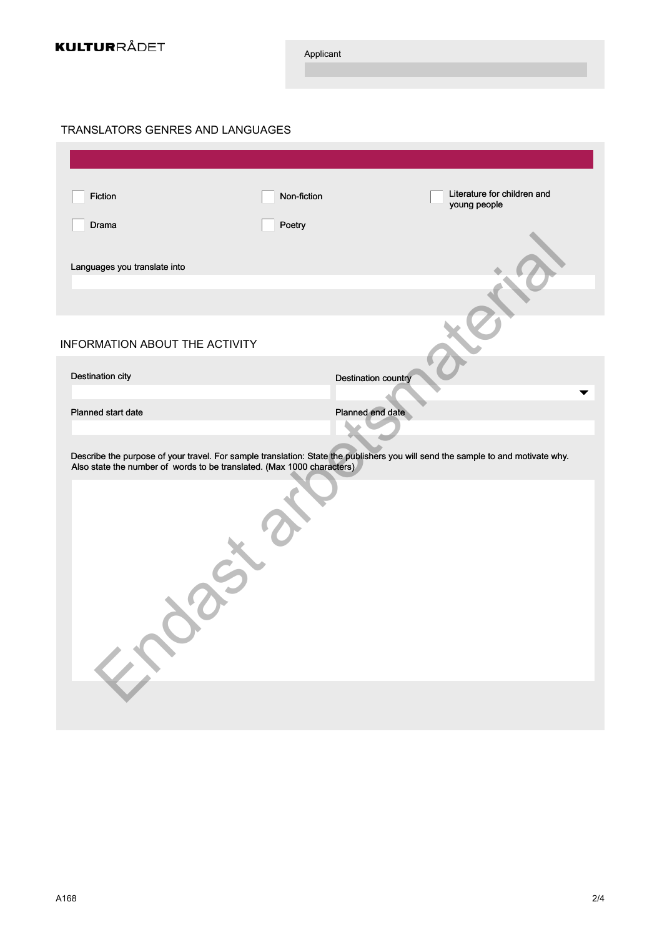

Applicant

## TRANSLATORS GENRES AND LANGUAGES

| Fiction                                                                | Non-fiction | Literature for children and<br>young people                                                                                     |
|------------------------------------------------------------------------|-------------|---------------------------------------------------------------------------------------------------------------------------------|
| Drama                                                                  | Poetry      |                                                                                                                                 |
| Languages you translate into                                           |             |                                                                                                                                 |
|                                                                        |             |                                                                                                                                 |
| INFORMATION ABOUT THE ACTIVITY                                         |             |                                                                                                                                 |
| Destination city                                                       |             | <b>Destination country</b>                                                                                                      |
|                                                                        |             |                                                                                                                                 |
| Planned start date                                                     |             | Planned end date                                                                                                                |
| Also state the number of words to be translated. (Max 1000 characters) |             | Describe the purpose of your travel. For sample translation: State the publishers you will send the sample to and motivate why. |
|                                                                        |             |                                                                                                                                 |
|                                                                        |             |                                                                                                                                 |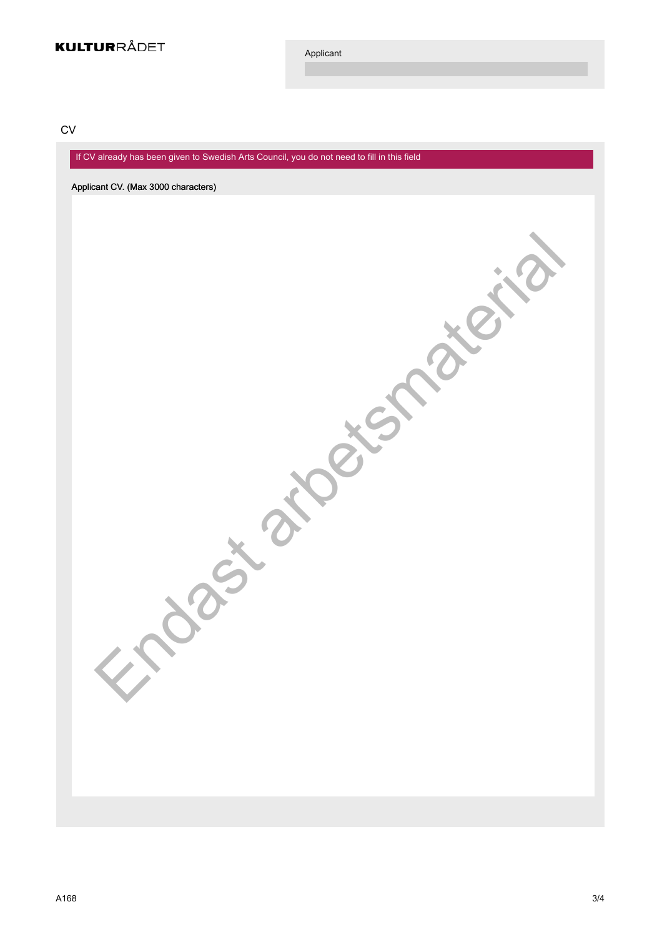Applicant

Jast arbetsmaterial

**CV** 

If CV already has been given to Swedish Arts Council, you do not need to fill in this field

Applicant CV. (Max 3000 characters)